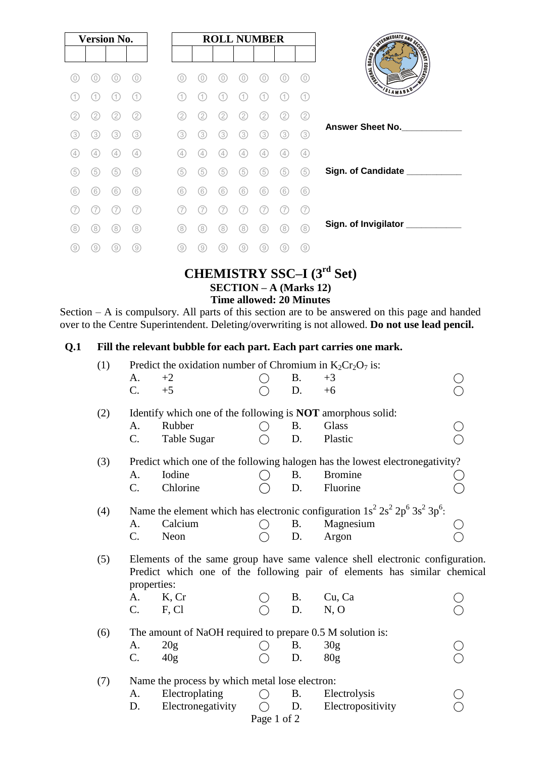| <b>Version No.</b> |     |     |     |
|--------------------|-----|-----|-----|
|                    |     |     |     |
| 0)                 | 0)  |     | 0   |
| 1.                 | (1) |     | 11  |
| (2)                | 2   | 2   | 2   |
| (3)                | (3) | (3) | (3) |
| (4                 | (4) | 4   | (4) |
| (5)                | (5) | (5) | (5) |
| (6)                | (6) | (6) | (6) |
| 7                  |     |     | 7   |
| (8)                | (8) | (8) | (8) |
| 9)                 | 9)  | 9   | 9)  |

### **CHEMISTRY SSC–I (3 rd Set) SECTION – A (Marks 12) Time allowed: 20 Minutes**

Section – A is compulsory. All parts of this section are to be answered on this page and handed over to the Centre Superintendent. Deleting/overwriting is not allowed. **Do not use lead pencil.**

### **Q.1 Fill the relevant bubble for each part. Each part carries one mark.**

| (1) |                                                                                                                                                                         | Predict the oxidation number of Chromium in $K_2Cr_2O_7$ is: |             |           |                   |  |  |  |  |  |
|-----|-------------------------------------------------------------------------------------------------------------------------------------------------------------------------|--------------------------------------------------------------|-------------|-----------|-------------------|--|--|--|--|--|
|     | A.                                                                                                                                                                      | $+2$                                                         |             | <b>B.</b> | $+3$              |  |  |  |  |  |
|     | $C$ .                                                                                                                                                                   | $+5$                                                         |             | D.        | $+6$              |  |  |  |  |  |
| (2) | Identify which one of the following is <b>NOT</b> amorphous solid:                                                                                                      |                                                              |             |           |                   |  |  |  |  |  |
|     | A.                                                                                                                                                                      | Rubber                                                       |             | <b>B.</b> | Glass             |  |  |  |  |  |
|     | C.                                                                                                                                                                      | <b>Table Sugar</b>                                           |             | D.        | Plastic           |  |  |  |  |  |
| (3) | Predict which one of the following halogen has the lowest electronegativity?                                                                                            |                                                              |             |           |                   |  |  |  |  |  |
|     | A.                                                                                                                                                                      | Iodine                                                       |             | <b>B.</b> | <b>Bromine</b>    |  |  |  |  |  |
|     | $C$ .                                                                                                                                                                   | Chlorine                                                     |             | D.        | Fluorine          |  |  |  |  |  |
| (4) | Name the element which has electronic configuration $1s^2 2s^2 2p^6 3s^2 3p^6$ :                                                                                        |                                                              |             |           |                   |  |  |  |  |  |
|     | A.                                                                                                                                                                      | Calcium                                                      |             | <b>B.</b> | Magnesium         |  |  |  |  |  |
|     | C.                                                                                                                                                                      | Neon                                                         |             | D.        | Argon             |  |  |  |  |  |
| (5) | Elements of the same group have same valence shell electronic configuration.<br>Predict which one of the following pair of elements has similar chemical<br>properties: |                                                              |             |           |                   |  |  |  |  |  |
|     | A.                                                                                                                                                                      | K, Cr                                                        |             | <b>B.</b> | Cu, Ca            |  |  |  |  |  |
|     | $C_{\cdot}$                                                                                                                                                             | F, Cl                                                        |             | D.        | N, O              |  |  |  |  |  |
| (6) | The amount of NaOH required to prepare 0.5 M solution is:                                                                                                               |                                                              |             |           |                   |  |  |  |  |  |
|     | A.                                                                                                                                                                      | 20 <sub>g</sub>                                              |             | B.        | 30g               |  |  |  |  |  |
|     | C.                                                                                                                                                                      | 40g                                                          |             | D.        | 80 <sub>g</sub>   |  |  |  |  |  |
| (7) | Name the process by which metal lose electron:                                                                                                                          |                                                              |             |           |                   |  |  |  |  |  |
|     | A.                                                                                                                                                                      | Electroplating                                               |             | <b>B.</b> | Electrolysis      |  |  |  |  |  |
|     | D.                                                                                                                                                                      | Electronegativity                                            |             | D.        | Electropositivity |  |  |  |  |  |
|     |                                                                                                                                                                         |                                                              | Page 1 of 2 |           |                   |  |  |  |  |  |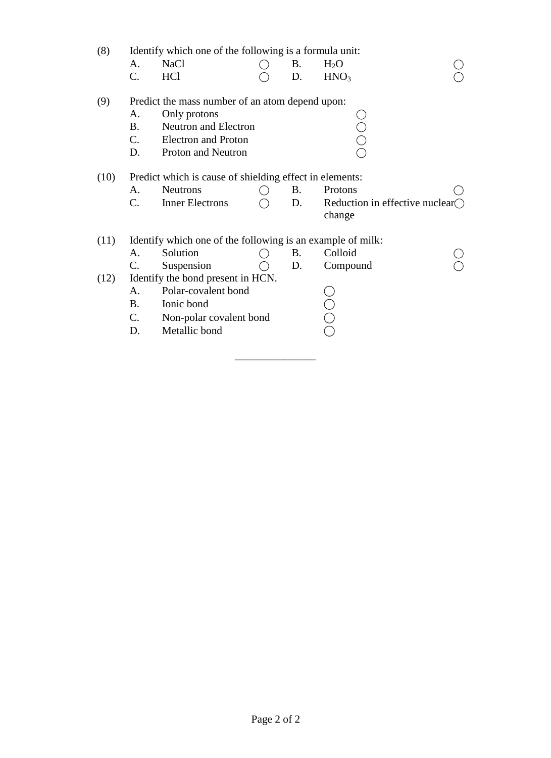| (8)                | Identify which one of the following is a formula unit:  |                                                            |  |           |                                           |  |  |  |  |
|--------------------|---------------------------------------------------------|------------------------------------------------------------|--|-----------|-------------------------------------------|--|--|--|--|
|                    | A.                                                      | <b>NaCl</b>                                                |  | Β.        | $H_2O$                                    |  |  |  |  |
|                    | $C$ .                                                   | <b>HCl</b>                                                 |  | D.        | HNO <sub>3</sub>                          |  |  |  |  |
|                    |                                                         |                                                            |  |           |                                           |  |  |  |  |
| (9)                | Predict the mass number of an atom depend upon:         |                                                            |  |           |                                           |  |  |  |  |
| Only protons<br>А. |                                                         |                                                            |  |           |                                           |  |  |  |  |
|                    | <b>B.</b>                                               | <b>Neutron</b> and Electron                                |  |           |                                           |  |  |  |  |
|                    | $\mathbf{C}$ .                                          | <b>Electron</b> and Proton                                 |  |           |                                           |  |  |  |  |
|                    | D.                                                      | Proton and Neutron                                         |  |           |                                           |  |  |  |  |
| (10)               | Predict which is cause of shielding effect in elements: |                                                            |  |           |                                           |  |  |  |  |
|                    | A.                                                      | <b>Neutrons</b>                                            |  | B.        | Protons                                   |  |  |  |  |
|                    | C.                                                      | <b>Inner Electrons</b>                                     |  | D.        | Reduction in effective nuclear $\bigcirc$ |  |  |  |  |
|                    |                                                         |                                                            |  |           | change                                    |  |  |  |  |
|                    |                                                         |                                                            |  |           |                                           |  |  |  |  |
| (11)               |                                                         | Identify which one of the following is an example of milk: |  |           |                                           |  |  |  |  |
|                    | A.                                                      | Solution                                                   |  | <b>B.</b> | Colloid                                   |  |  |  |  |
|                    | C.                                                      | Suspension                                                 |  | D.        | Compound                                  |  |  |  |  |
| (12)               |                                                         | Identify the bond present in HCN.                          |  |           |                                           |  |  |  |  |
|                    | A.                                                      | Polar-covalent bond                                        |  |           |                                           |  |  |  |  |
|                    | <b>B.</b>                                               | Ionic bond                                                 |  |           |                                           |  |  |  |  |
|                    | C.                                                      | Non-polar covalent bond                                    |  |           |                                           |  |  |  |  |
|                    | D.                                                      | Metallic bond                                              |  |           |                                           |  |  |  |  |
|                    |                                                         |                                                            |  |           |                                           |  |  |  |  |

\_\_\_\_\_\_\_\_\_\_\_\_\_\_\_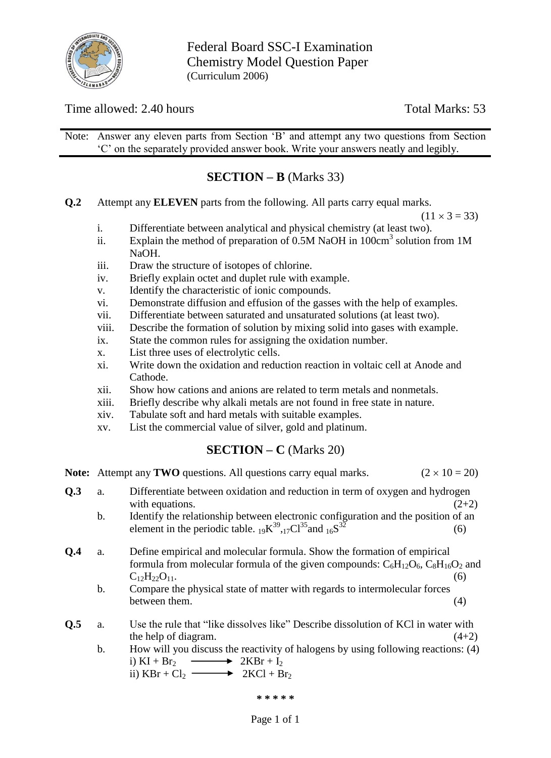

Federal Board SSC-I Examination Chemistry Model Question Paper (Curriculum 2006)

### Time allowed: 2.40 hours Total Marks: 53

Note: Answer any eleven parts from Section "B" and attempt any two questions from Section "C" on the separately provided answer book. Write your answers neatly and legibly.

## **SECTION – B** (Marks 33)

**Q.2** Attempt any **ELEVEN** parts from the following. All parts carry equal marks.

 $(11 \times 3 = 33)$ 

- i. Differentiate between analytical and physical chemistry (at least two).
- ii. Explain the method of preparation of  $0.5M$  NaOH in  $100 \text{cm}^3$  solution from 1M NaOH.
- iii. Draw the structure of isotopes of chlorine.
- iv. Briefly explain octet and duplet rule with example.
- v. Identify the characteristic of ionic compounds.
- vi. Demonstrate diffusion and effusion of the gasses with the help of examples.
- vii. Differentiate between saturated and unsaturated solutions (at least two).
- viii. Describe the formation of solution by mixing solid into gases with example.
- ix. State the common rules for assigning the oxidation number.
- x. List three uses of electrolytic cells.
- xi. Write down the oxidation and reduction reaction in voltaic cell at Anode and Cathode.
- xii. Show how cations and anions are related to term metals and nonmetals.
- xiii. Briefly describe why alkali metals are not found in free state in nature.
- xiv. Tabulate soft and hard metals with suitable examples.
- xv. List the commercial value of silver, gold and platinum.

### **SECTION – C** (Marks 20)

**Note:** Attempt any **TWO** questions. All questions carry equal marks. ( $2 \times 10 = 20$ )

- **Q.3** a. Differentiate between oxidation and reduction in term of oxygen and hydrogen with equations.  $(2+2)$ 
	- b. Identify the relationship between electronic configuration and the position of an element in the periodic table.  $_{19}K^{39}$ ,  $_{17}Cl^{35}$  and  $_{16}S$  $3\bar{2}$  (6)
- **Q.4** a. Define empirical and molecular formula. Show the formation of empirical formula from molecular formula of the given compounds:  $C_6H_{12}O_6$ ,  $C_8H_{16}O_2$  and  $C_{12}H_{22}O_{11}$  (6)
	- b. Compare the physical state of matter with regards to intermolecular forces between them.  $(4)$
- **Q.5** a. Use the rule that "like dissolves like" Describe dissolution of KCl in water with the help of diagram.  $(4+2)$ 
	- b. How will you discuss the reactivity of halogens by using following reactions: (4) i) KI + Br<sub>2</sub>  $\longrightarrow$  2KBr + I<sub>2</sub> ii)  $KBr + Cl_2 \longrightarrow 2KCl + Br_2$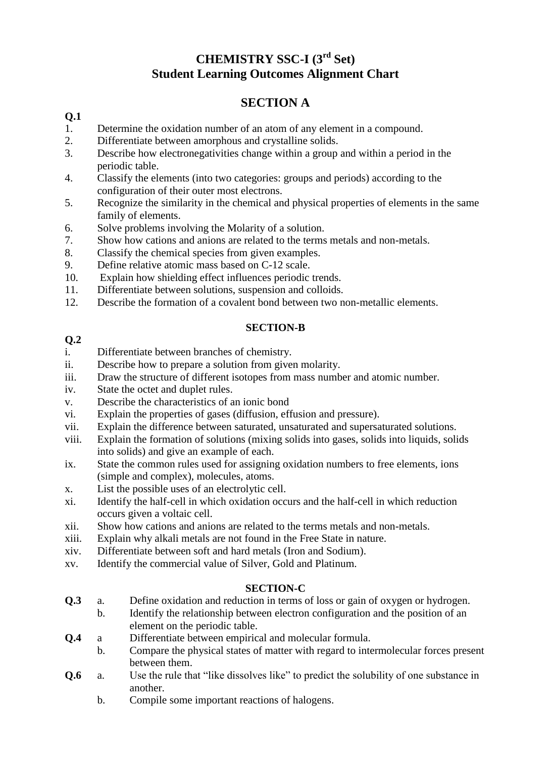# **CHEMISTRY SSC-I (3 rd Set) Student Learning Outcomes Alignment Chart**

# **SECTION A**

### **Q.1**

- 1. Determine the oxidation number of an atom of any element in a compound.
- 2. Differentiate between amorphous and crystalline solids.
- 3. Describe how electronegativities change within a group and within a period in the periodic table.
- 4. Classify the elements (into two categories: groups and periods) according to the configuration of their outer most electrons.
- 5. Recognize the similarity in the chemical and physical properties of elements in the same family of elements.
- 6. Solve problems involving the Molarity of a solution.
- 7. Show how cations and anions are related to the terms metals and non-metals.
- 8. Classify the chemical species from given examples.
- 9. Define relative atomic mass based on C-12 scale.
- 10. Explain how shielding effect influences periodic trends.
- 11. Differentiate between solutions, suspension and colloids.
- 12. Describe the formation of a covalent bond between two non-metallic elements.

#### **SECTION-B**

#### **Q.2**

- i. Differentiate between branches of chemistry.
- ii. Describe how to prepare a solution from given molarity.
- iii. Draw the structure of different isotopes from mass number and atomic number.
- iv. State the octet and duplet rules.
- v. Describe the characteristics of an ionic bond
- vi. Explain the properties of gases (diffusion, effusion and pressure).
- vii. Explain the difference between saturated, unsaturated and supersaturated solutions.
- viii. Explain the formation of solutions (mixing solids into gases, solids into liquids, solids into solids) and give an example of each.
- ix. State the common rules used for assigning oxidation numbers to free elements, ions (simple and complex), molecules, atoms.
- x. List the possible uses of an electrolytic cell.
- xi. Identify the half-cell in which oxidation occurs and the half-cell in which reduction occurs given a voltaic cell.
- xii. Show how cations and anions are related to the terms metals and non-metals.
- xiii. Explain why alkali metals are not found in the Free State in nature.
- xiv. Differentiate between soft and hard metals (Iron and Sodium).
- xv. Identify the commercial value of Silver, Gold and Platinum.

### **SECTION-C**

- **Q.3** a. Define oxidation and reduction in terms of loss or gain of oxygen or hydrogen.
	- b. Identify the relationship between electron configuration and the position of an element on the periodic table.
- **Q.4** a Differentiate between empirical and molecular formula.
	- b. Compare the physical states of matter with regard to intermolecular forces present between them.
- **Q.6** a. Use the rule that "like dissolves like" to predict the solubility of one substance in another.
	- b. Compile some important reactions of halogens.